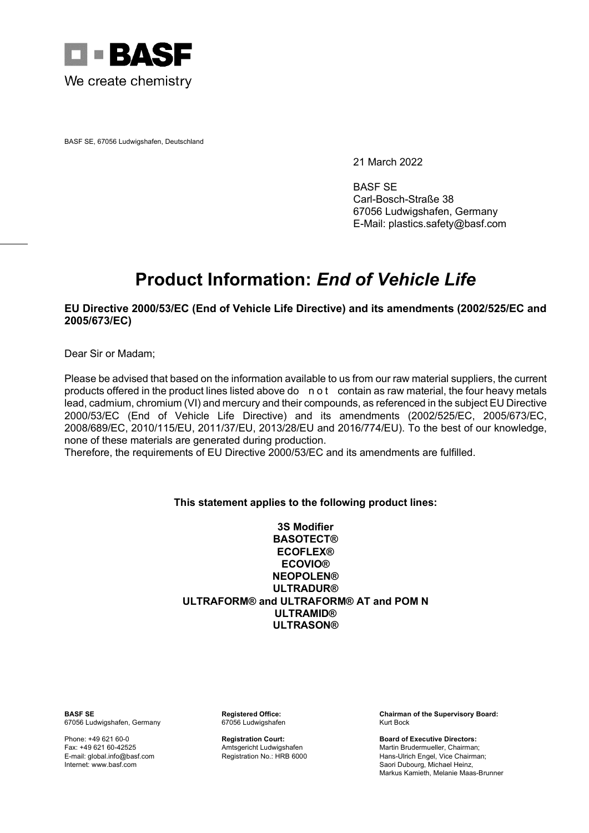

BASF SE, 67056 Ludwigshafen, Deutschland

21 March 2022

BASF SE Carl-Bosch-Straße 38 67056 Ludwigshafen, Germany E-Mail: plastics.safety@basf.com

## **Product Information:** *End of Vehicle Life*

## **EU Directive 2000/53/EC (End of Vehicle Life Directive) and its amendments (2002/525/EC and 2005/673/EC)**

Dear Sir or Madam;

Please be advised that based on the information available to us from our raw material suppliers, the current products offered in the product lines listed above do n o t contain as raw material, the four heavy metals lead, cadmium, chromium (VI) and mercury and their compounds, as referenced in the subject EU Directive 2000/53/EC (End of Vehicle Life Directive) and its amendments (2002/525/EC, 2005/673/EC, 2008/689/EC, 2010/115/EU, 2011/37/EU, 2013/28/EU and 2016/774/EU). To the best of our knowledge, none of these materials are generated during production.

Therefore, the requirements of EU Directive 2000/53/EC and its amendments are fulfilled.

## **This statement applies to the following product lines:**

**3S Modifier BASOTECT® ECOFLEX® ECOVIO® NEOPOLEN® ULTRADUR® ULTRAFORM® and ULTRAFORM® AT and POM N ULTRAMID® ULTRASON®**

67056 Ludwigshafen, Germany

**BASF SE Registered Office: Chairman of the Supervisory Board:**

Phone: +49 621 60-0 **Registration Court: Board of Executive Directors:** Fax: +49 621 60-42525 **Amtsgericht Ludwigshafen** Martin Brudermueller, Chairman;<br>E-mail: global.info@basf.com **American Bruders American Bruder Bruder** Hame-Ulrich Engel, Vice Chairma E-mail: global.info@basf.com **Registration No.: HRB 6000** Hans-Ulrich Engel, Vice Chairman;<br>Internet: www.basf.com **Registration No.: HRB 6000** Saori Dubourg. Michael Heinz. Saori Dubourg, Michael Heinz, Markus Kamieth, Melanie Maas-Brunner